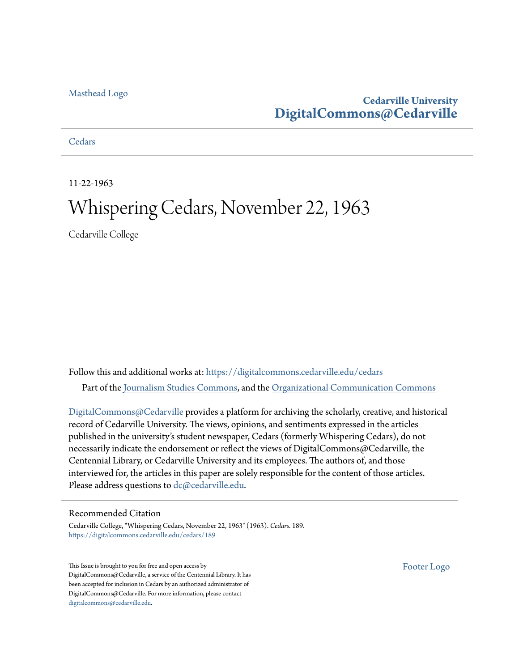## [Masthead Logo](http://www.cedarville.edu/?utm_source=digitalcommons.cedarville.edu%2Fcedars%2F189&utm_medium=PDF&utm_campaign=PDFCoverPages)

## **Cedarville University [DigitalCommons@Cedarville](https://digitalcommons.cedarville.edu?utm_source=digitalcommons.cedarville.edu%2Fcedars%2F189&utm_medium=PDF&utm_campaign=PDFCoverPages)**

## **[Cedars](https://digitalcommons.cedarville.edu/cedars?utm_source=digitalcommons.cedarville.edu%2Fcedars%2F189&utm_medium=PDF&utm_campaign=PDFCoverPages)**

11-22-1963

# Whispering Cedars, November 22, 1963

Cedarville College

Follow this and additional works at: [https://digitalcommons.cedarville.edu/cedars](https://digitalcommons.cedarville.edu/cedars?utm_source=digitalcommons.cedarville.edu%2Fcedars%2F189&utm_medium=PDF&utm_campaign=PDFCoverPages) Part of the [Journalism Studies Commons](http://network.bepress.com/hgg/discipline/333?utm_source=digitalcommons.cedarville.edu%2Fcedars%2F189&utm_medium=PDF&utm_campaign=PDFCoverPages), and the [Organizational Communication Commons](http://network.bepress.com/hgg/discipline/335?utm_source=digitalcommons.cedarville.edu%2Fcedars%2F189&utm_medium=PDF&utm_campaign=PDFCoverPages)

[DigitalCommons@Cedarville](http://digitalcommons.cedarville.edu/) provides a platform for archiving the scholarly, creative, and historical record of Cedarville University. The views, opinions, and sentiments expressed in the articles published in the university's student newspaper, Cedars (formerly Whispering Cedars), do not necessarily indicate the endorsement or reflect the views of DigitalCommons@Cedarville, the Centennial Library, or Cedarville University and its employees. The authors of, and those interviewed for, the articles in this paper are solely responsible for the content of those articles. Please address questions to [dc@cedarville.edu.](mailto:dc@cedarville.edu)

## Recommended Citation

Cedarville College, "Whispering Cedars, November 22, 1963" (1963). *Cedars*. 189. [https://digitalcommons.cedarville.edu/cedars/189](https://digitalcommons.cedarville.edu/cedars/189?utm_source=digitalcommons.cedarville.edu%2Fcedars%2F189&utm_medium=PDF&utm_campaign=PDFCoverPages)

This Issue is brought to you for free and open access by DigitalCommons@Cedarville, a service of the Centennial Library. It has been accepted for inclusion in Cedars by an authorized administrator of DigitalCommons@Cedarville. For more information, please contact [digitalcommons@cedarville.edu](mailto:digitalcommons@cedarville.edu).

[Footer Logo](http://www.cedarville.edu/Academics/Library.aspx?utm_source=digitalcommons.cedarville.edu%2Fcedars%2F189&utm_medium=PDF&utm_campaign=PDFCoverPages)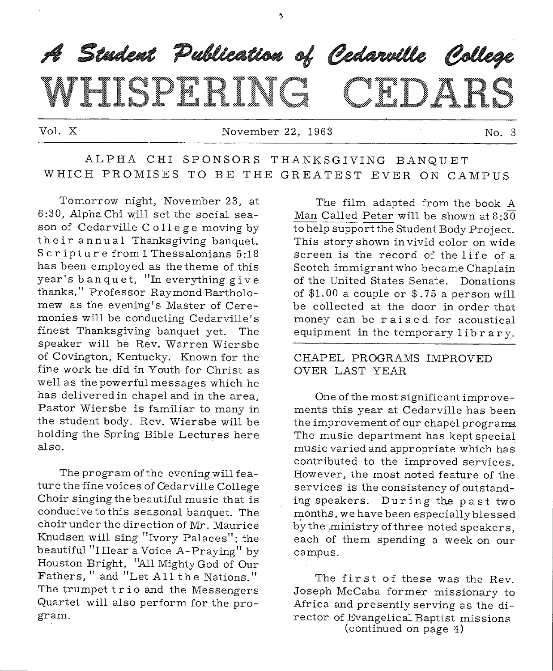

Vol. X November 22, 1963 No. 3

## ALPHA CHI SPONSORS THANKSGIVING BANQUET WHICH PROMISES TO BE THE GREATEST EVER ON CAMPUS

Tomorrow night, November 23, at 6:30, Alpha Chi will set the social season of Cedarville C ollege moving by their annual Thanksgiving banquet. Scripture from 1 Thessalonians 5:18 has been employed as the theme of this year's banquet, "In everything give thanks." Professor Raymond Bartholomew as the evening's Master of Ceremonies will be conducting Cedarville's finest Thanksgiving banquet yet. The speaker will be Rev. Warren Wiersbe of Covington, Kentucky. Known for the fine work he did in Youth for Christ as well as the powerful messages which he has delivered in chapel and in the area, Pastor Wiersbe is familiar to many in the student body. Rev. Wiersbe will be holding the Spring Bible Lectures here also.

The program of the evening will feature the fine voices of Cedarville College Choir singing the beautiful music that is conducive to this seasonal banquet. The choir under the direction of Mr. Maurice Knudsen will sing "Ivory Palaces"; the beautiful "I Hear a Voice A-Praying" by Houston Bright, "All Mighty God of Our Fathers, " and "Let All the Nations." The trumpet trio and the Messengers Quartet will also perform for the program.

The film adapted from the book A Man Called Peter will be shown at  $8:30$ to help support the Student Body Project. This story shown in vivid color on wide screen is the record of the life of a Scotch immigrant who became Chaplain of the United States Senate. Donations of  $$1.00$  a couple or  $$.75$  a person will be collected at the door in order that money can be raised for acoustical equipment in the temporary library.

#### CHAPEL PROGRAMS IMPROVED OVER LAST YEAR

One of the most significant improvements this year at Cedarville has been the improvement of our chapel programs. The music department has kept special music varied and appropriate which has contributed to the improved services. However, the most noted feature of the services is the consistency of outstanding speakers. During the past two months, we have been especially blessed by the ,ministry of three noted speakers, each of them spending a week on our campus.

The first of these was the Rev. Joseph McCaba former missionary to Africa and presently serving as the director of Evangelical Baptist missions (continued on page 4)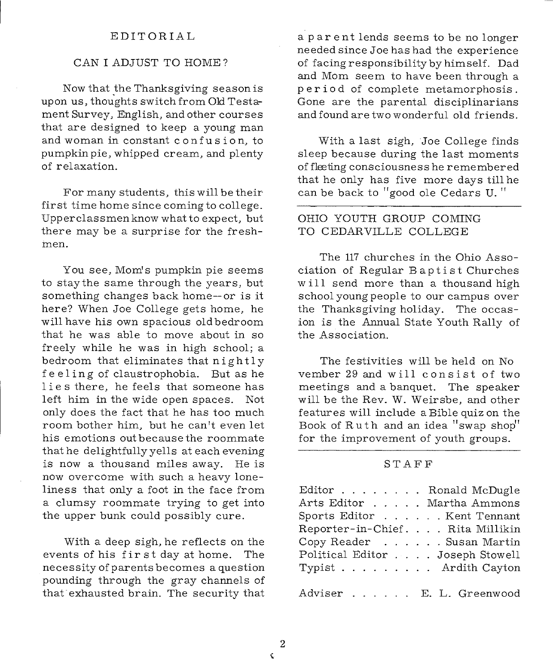#### EDITORIAL

#### CAN I ADJUST TO HOME?

Now that \_the Thanksgiving season is upon us, thoughts switch from Old Testament Survey, English, and other courses that are designed to keep a young man and woman in constant confusion, to pumpkin pie, whipped cream, and plenty of relaxation.

For many students, this will be their first time home since coming to college. Upperclassmen know what to expect, but there may be a surprise for the freshmen.

You see, Mom's pumpkin pie seems to staythe same through the years, but something changes back home--or is it here? When Joe College gets home, he will have his own spacious old bedroom that he was able to move about in so freely while he was in high school; <sup>a</sup> bedroom that eliminates that nightly feeling of claustrophobia. But as he lies there, he feels that someone has left him in the wide open spaces. Not only does the fact that he has too much room bother him, but he can't even let his emotions out because the roommate that he delightfully yells at each evening is now a thousand miles away. He is now overcome with such a heavy loneliness that only a foot in the face from a clumsy roommate trying to get into the upper bunk could possibly cure.

With a deep sigh, he reflects on the events of his first day at home. The necessity of parents becomes a question pounding through the gray channels of that exhausted brain. The security that

a par ent lends seems to be no longer needed since Joe has had the experience of facing responsibility by himself. Dad and Mom seem to have been through <sup>a</sup> period of complete metamorphosis. Gone are the parental disciplinarians and found are two wonderful old friends.

With a last sigh, Joe College finds sleep because during the last moments of fleeting consciousness he remembered that he only has five more days till he can be back to "good ole Cedars U."

#### OHIO YOUTH GROUP COMING TO CEDARVILLE COLLEGE

The 117 churches in the Ohio Association of Regular Baptist Churches will send more than a thousand high school young people to our campus over the Thanksgiving holiday. The occasion is the Annual State Youth Rally of the Association.

The festivities will be held on No vember 29 and will consist of two meetings and a banquet. The speaker will be the Rev. W. Weirsbe, and other features will include a Bible quiz on the Book of Ruth and an idea "swap shop" for the improvement of youth groups.

#### STAFF

| Editor Ronald McDugle            |
|----------------------------------|
| Arts Editor Martha Ammons        |
| Sports Editor Kent Tennant       |
| Reporter-in-Chief. Rita Millikin |
| Copy Reader Susan Martin         |
| Political Editor Joseph Stowell  |
| Typist Ardith Cayton             |
|                                  |
| Adviser E. L. Greenwood          |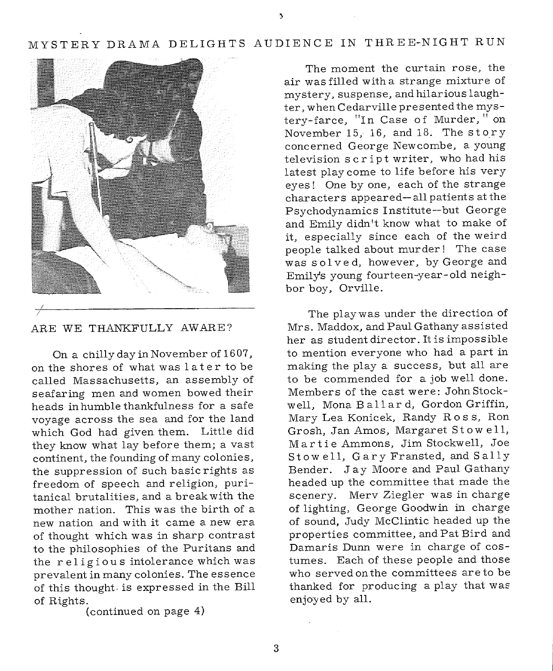## MYSTERY DRAMA DELIGHTS AUDIENCE IN THREE-NIGHT RUN



ARE WE THANKFULLY AWARE?

On a chilly day in November of 1607, on the shores of what was 1 ate r to be called Massachusetts, an assembly of seafaring men and women bowed their heads in humble thankfulness for a safe voyage across the sea and for the land which God had given them. Little did they know what lay before them; a vast continent, the founding of many colonies, the suppression of such basic rights as freedom of speech and religion, puritanical brutalities, and a break with the mother nation. This was the birth of <sup>a</sup> new nation and with it came a new era of thought which was in sharp contrast to the philosophies of the Puritans and the religious intolerance which was prevalent in many colonies. The essence of this thought is expressed in the Bill of Rights.

(continued on page 4)

The moment the curtain rose, the air was filled with a strange mixture of mystery, suspense, and hilarious laughter, when Cedarville presented the mystery-farce, "In Case of Murder," on November 15, 16, and 18. The story concerned George Newcombe, a young television script writer, who had his latest play come to life before his very eyes! One by one, each of the strange characters appeared--all patients at the Psychodynamics Institute--but George and Emily didn't know what to make of it, especially since each of the weird people talked about murder! The case was solved, however, by George and Emily's young fourteen-year-old neighbor boy, Orville.

The playwas under the direction of Mrs. Maddox, and Paul Gathany assisted her as student director. It is impossible to mention everyone who had a part in making the play a success, but all are to be commended for a job well done. Members of the cast were: John Stockwell, Mona Ballard, Gordon Griffin, Mary Lea Konicek, Randy Ross, Ron Grosh, Jan Amos, Margaret Stowell, Martie Ammons, Jim Stockwell, Joe St owe 11, Gary Fransted, and Sally Bender. Jay Moore and Paul Gathany headed up the committee that made the scenery. Merv Ziegler was in charge of lighting, George Goodwin in charge of sound, Judy McClintic headed up the properties committee, and Pat Bird and Damaris Dunn were in charge of costumes. Each of these people and those who served on the committees are to be thanked for producing a play that was enjoyed by all.

3